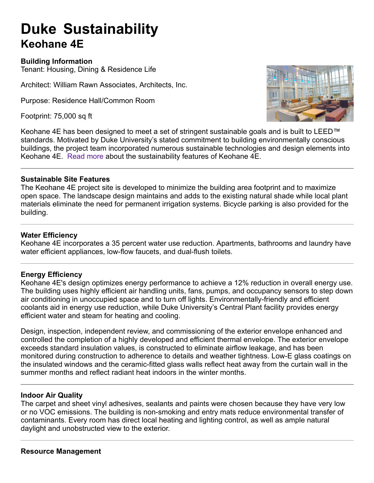# **Duke Sustainability Keohane 4E**

## **Building Information**

Tenant: Housing, Dining & Residence Life

Architect: William Rawn Associates, Architects, Inc.

Purpose: Residence Hall/Common Room

Footprint: 75,000 sq ft



Keohane 4E has been designed to meet a set of stringent sustainable goals and is built to LEED™ standards. Motivated by Duke University's stated commitment to building environmentally conscious buildings, the project team incorporated numerous sustainable technologies and design elements into Keohane 4E. Read more about the sustainability features of Keohane 4E.

### **Sustainable Site Features**

The Keohane 4E project site is developed to minimize the building area footprint and to maximize open space. The landscape design maintains and adds to the existing natural shade while local plant materials eliminate the need for permanent irrigation systems. Bicycle parking is also provided for the building.

## **Water Efficiency**

Keohane 4E incorporates a 35 percent water use reduction. Apartments, bathrooms and laundry have water efficient appliances, low-flow faucets, and dual-flush toilets.

## **Energy Efficiency**

Keohane 4E's design optimizes energy performance to achieve a 12% reduction in overall energy use. The building uses highly efficient air handling units, fans, pumps, and occupancy sensors to step down air conditioning in unoccupied space and to turn off lights. Environmentally-friendly and efficient coolants aid in energy use reduction, while Duke University's Central Plant facility provides energy efficient water and steam for heating and cooling.

Design, inspection, independent review, and commissioning of the exterior envelope enhanced and controlled the completion of a highly developed and efficient thermal envelope. The exterior envelope exceeds standard insulation values, is constructed to eliminate airflow leakage, and has been monitored during construction to adherence to details and weather tightness. Low-E glass coatings on the insulated windows and the ceramic-fitted glass walls reflect heat away from the curtain wall in the summer months and reflect radiant heat indoors in the winter months.

### **Indoor Air Quality**

The carpet and sheet vinyl adhesives, sealants and paints were chosen because they have very low or no VOC emissions. The building is non-smoking and entry mats reduce environmental transfer of contaminants. Every room has direct local heating and lighting control, as well as ample natural daylight and unobstructed view to the exterior.